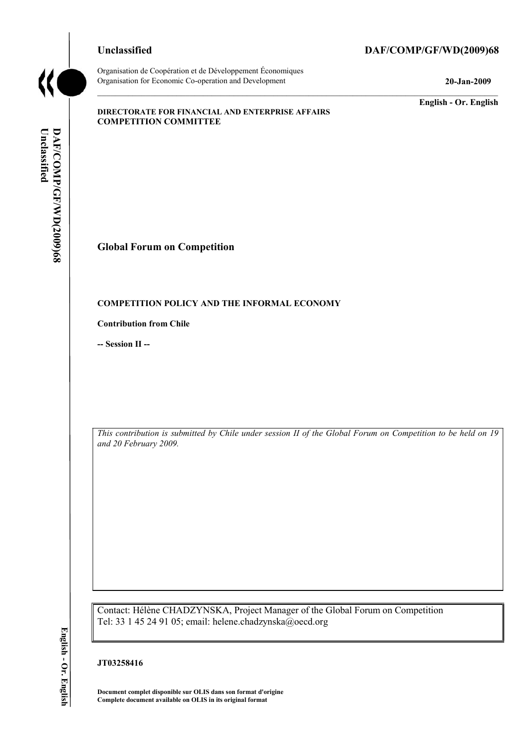Organisation de Coopération et de Développement Économiques Organisation for Economic Co-operation and Development **20-Jan-2009** 

# **Unclassified DAF/COMP/GF/WD(2009)68**

**English - Or. English** 

#### **DIRECTORATE FOR FINANCIAL AND ENTERPRISE AFFAIRS COMPETITION COMMITTEE**

DAF/COMP/GF/WD(2009)68 Unclassified **Unclassified DAF/COMP/GF/WD(2009)68 English - Or. English**

# **Global Forum on Competition**

### **COMPETITION POLICY AND THE INFORMAL ECONOMY**

**Contribution from Chile** 

**-- Session II --** 

*This contribution is submitted by Chile under session II of the Global Forum on Competition to be held on 19 and 20 February 2009.* 

Contact: Hélène CHADZYNSKA, Project Manager of the Global Forum on Competition Tel: 33 1 45 24 91 05; email: helene.chadzynska@oecd.org

# **JT03258416**

**Document complet disponible sur OLIS dans son format d'origine Complete document available on OLIS in its original format**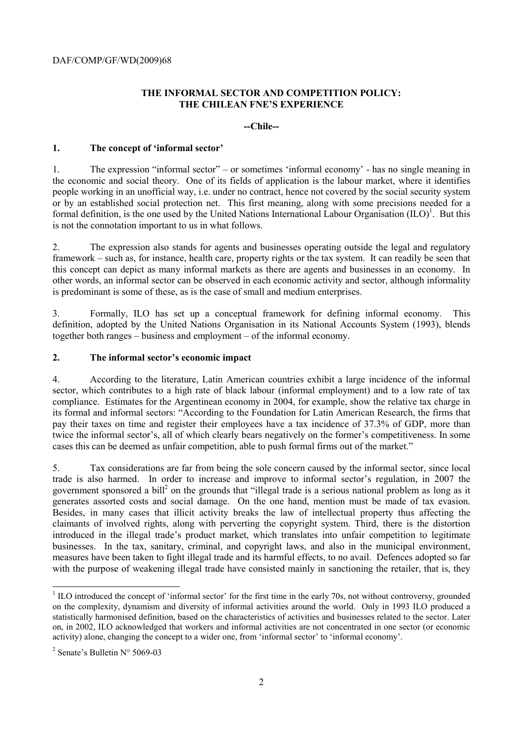# **THE INFORMAL SECTOR AND COMPETITION POLICY: THE CHILEAN FNE'S EXPERIENCE**

**--Chile--** 

#### **1. The concept of 'informal sector'**

1. The expression "informal sector" – or sometimes 'informal economy' - has no single meaning in the economic and social theory. One of its fields of application is the labour market, where it identifies people working in an unofficial way, i.e. under no contract, hence not covered by the social security system or by an established social protection net. This first meaning, along with some precisions needed for a formal definition, is the one used by the United Nations International Labour Organisation  $(ILO)^1$ . But this is not the connotation important to us in what follows.

2. The expression also stands for agents and businesses operating outside the legal and regulatory framework – such as, for instance, health care, property rights or the tax system. It can readily be seen that this concept can depict as many informal markets as there are agents and businesses in an economy. In other words, an informal sector can be observed in each economic activity and sector, although informality is predominant is some of these, as is the case of small and medium enterprises.

3. Formally, ILO has set up a conceptual framework for defining informal economy. This definition, adopted by the United Nations Organisation in its National Accounts System (1993), blends together both ranges – business and employment – of the informal economy.

### **2. The informal sector's economic impact**

4. According to the literature, Latin American countries exhibit a large incidence of the informal sector, which contributes to a high rate of black labour (informal employment) and to a low rate of tax compliance. Estimates for the Argentinean economy in 2004, for example, show the relative tax charge in its formal and informal sectors: "According to the Foundation for Latin American Research, the firms that pay their taxes on time and register their employees have a tax incidence of 37.3% of GDP, more than twice the informal sector's, all of which clearly bears negatively on the former's competitiveness. In some cases this can be deemed as unfair competition, able to push formal firms out of the market."

5. Tax considerations are far from being the sole concern caused by the informal sector, since local trade is also harmed. In order to increase and improve to informal sector's regulation, in 2007 the government sponsored a bill<sup>2</sup> on the grounds that "illegal trade is a serious national problem as long as it generates assorted costs and social damage. On the one hand, mention must be made of tax evasion. Besides, in many cases that illicit activity breaks the law of intellectual property thus affecting the claimants of involved rights, along with perverting the copyright system. Third, there is the distortion introduced in the illegal trade's product market, which translates into unfair competition to legitimate businesses. In the tax, sanitary, criminal, and copyright laws, and also in the municipal environment, measures have been taken to fight illegal trade and its harmful effects, to no avail. Defences adopted so far with the purpose of weakening illegal trade have consisted mainly in sanctioning the retailer, that is, they

 $\overline{a}$ 

 $1$  ILO introduced the concept of 'informal sector' for the first time in the early 70s, not without controversy, grounded on the complexity, dynamism and diversity of informal activities around the world. Only in 1993 ILO produced a statistically harmonised definition, based on the characteristics of activities and businesses related to the sector. Later on, in 2002, ILO acknowledged that workers and informal activities are not concentrated in one sector (or economic activity) alone, changing the concept to a wider one, from 'informal sector' to 'informal economy'.

<sup>2</sup> Senate's Bulletin N° 5069-03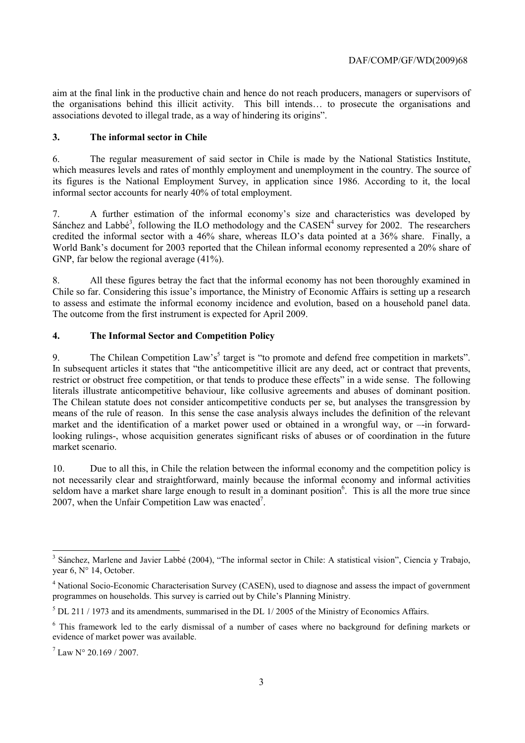aim at the final link in the productive chain and hence do not reach producers, managers or supervisors of the organisations behind this illicit activity. This bill intends… to prosecute the organisations and associations devoted to illegal trade, as a way of hindering its origins".

# **3. The informal sector in Chile**

6. The regular measurement of said sector in Chile is made by the National Statistics Institute, which measures levels and rates of monthly employment and unemployment in the country. The source of its figures is the National Employment Survey, in application since 1986. According to it, the local informal sector accounts for nearly 40% of total employment.

7. A further estimation of the informal economy's size and characteristics was developed by Sánchez and Labbé<sup>3</sup>, following the ILO methodology and the  $CASEN<sup>4</sup>$  survey for 2002. The researchers credited the informal sector with a 46% share, whereas ILO's data pointed at a 36% share. Finally, a World Bank's document for 2003 reported that the Chilean informal economy represented a 20% share of GNP, far below the regional average  $(41\%)$ .

8. All these figures betray the fact that the informal economy has not been thoroughly examined in Chile so far. Considering this issue's importance, the Ministry of Economic Affairs is setting up a research to assess and estimate the informal economy incidence and evolution, based on a household panel data. The outcome from the first instrument is expected for April 2009.

# **4. The Informal Sector and Competition Policy**

9. The Chilean Competition Law's<sup>5</sup> target is "to promote and defend free competition in markets". In subsequent articles it states that "the anticompetitive illicit are any deed, act or contract that prevents, restrict or obstruct free competition, or that tends to produce these effects" in a wide sense. The following literals illustrate anticompetitive behaviour, like collusive agreements and abuses of dominant position. The Chilean statute does not consider anticompetitive conducts per se, but analyses the transgression by means of the rule of reason. In this sense the case analysis always includes the definition of the relevant market and the identification of a market power used or obtained in a wrongful way, or –-in forwardlooking rulings-, whose acquisition generates significant risks of abuses or of coordination in the future market scenario.

10. Due to all this, in Chile the relation between the informal economy and the competition policy is not necessarily clear and straightforward, mainly because the informal economy and informal activities seldom have a market share large enough to result in a dominant position $6$ . This is all the more true since 2007, when the Unfair Competition Law was enacted<sup>7</sup>.

<sup>&</sup>lt;sup>3</sup> Sánchez, Marlene and Javier Labbé (2004), "The informal sector in Chile: A statistical vision", Ciencia y Trabajo, year 6, N° 14, October.

<sup>&</sup>lt;sup>4</sup> National Socio-Economic Characterisation Survey (CASEN), used to diagnose and assess the impact of government programmes on households. This survey is carried out by Chile's Planning Ministry.

 $<sup>5</sup>$  DL 211 / 1973 and its amendments, summarised in the DL 1/2005 of the Ministry of Economics Affairs.</sup>

<sup>&</sup>lt;sup>6</sup> This framework led to the early dismissal of a number of cases where no background for defining markets or evidence of market power was available.

 $^{7}$  Law N° 20.169 / 2007.